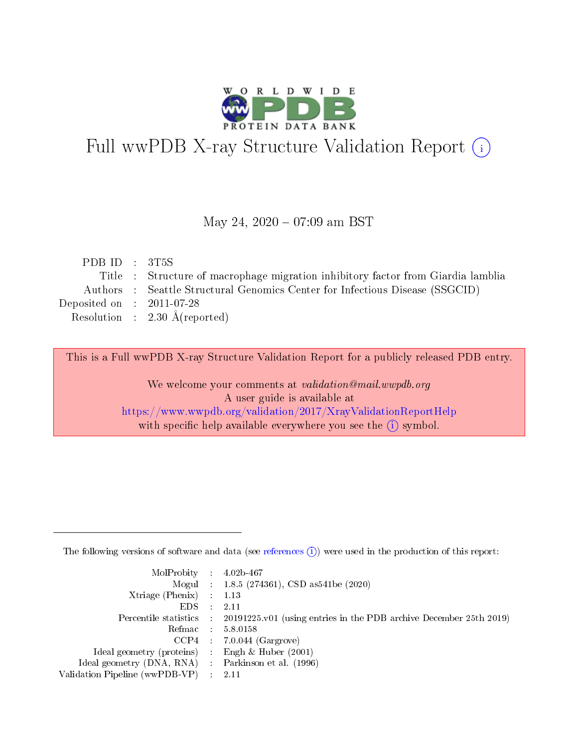

# Full wwPDB X-ray Structure Validation Report (i)

#### May 24,  $2020 - 07:09$  am BST

| PDB ID : $3T5S$             |                                                                                  |
|-----------------------------|----------------------------------------------------------------------------------|
|                             | Title : Structure of macrophage migration inhibitory factor from Giardia lamblia |
|                             | Authors : Seattle Structural Genomics Center for Infectious Disease (SSGCID)     |
| Deposited on : $2011-07-28$ |                                                                                  |
|                             | Resolution : $2.30 \text{ Å}$ (reported)                                         |
|                             |                                                                                  |

This is a Full wwPDB X-ray Structure Validation Report for a publicly released PDB entry.

We welcome your comments at validation@mail.wwpdb.org A user guide is available at <https://www.wwpdb.org/validation/2017/XrayValidationReportHelp> with specific help available everywhere you see the  $(i)$  symbol.

The following versions of software and data (see [references](https://www.wwpdb.org/validation/2017/XrayValidationReportHelp#references)  $(1)$ ) were used in the production of this report:

| $MolProbability$ : 4.02b-467                        |                                                                                            |
|-----------------------------------------------------|--------------------------------------------------------------------------------------------|
|                                                     | Mogul : $1.8.5$ (274361), CSD as 541be (2020)                                              |
| Xtriage (Phenix) $: 1.13$                           |                                                                                            |
| EDS                                                 | -2.11                                                                                      |
|                                                     | Percentile statistics : 20191225.v01 (using entries in the PDB archive December 25th 2019) |
| Refmac 58.0158                                      |                                                                                            |
|                                                     | $CCP4$ 7.0.044 (Gargrove)                                                                  |
| Ideal geometry (proteins) : Engh $\&$ Huber (2001)  |                                                                                            |
| Ideal geometry (DNA, RNA) : Parkinson et al. (1996) |                                                                                            |
| Validation Pipeline (wwPDB-VP) : 2.11               |                                                                                            |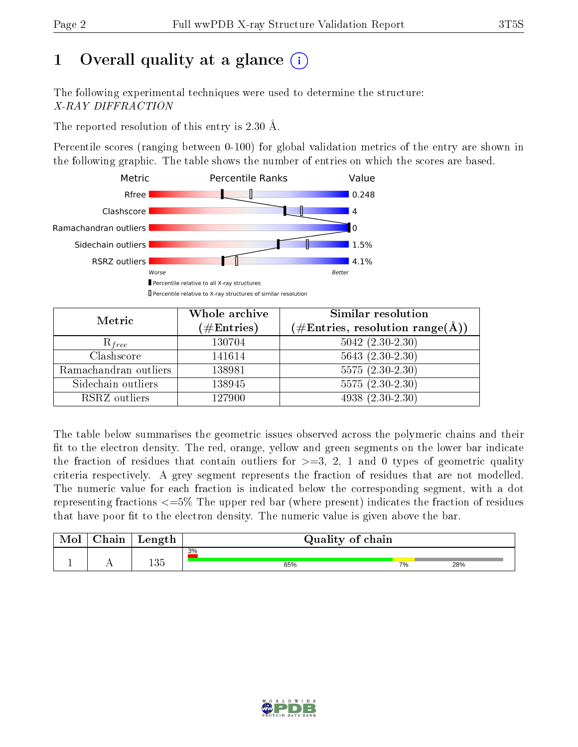# 1 [O](https://www.wwpdb.org/validation/2017/XrayValidationReportHelp#overall_quality)verall quality at a glance  $(i)$

The following experimental techniques were used to determine the structure: X-RAY DIFFRACTION

The reported resolution of this entry is 2.30 Å.

Percentile scores (ranging between 0-100) for global validation metrics of the entry are shown in the following graphic. The table shows the number of entries on which the scores are based.



| Metric                | Whole archive<br>$(\#\mathrm{Entries})$ | Similar resolution<br>$(\#\text{Entries},\,\text{resolution}\,\,\text{range}(\textup{\AA}))$ |  |  |
|-----------------------|-----------------------------------------|----------------------------------------------------------------------------------------------|--|--|
| $R_{free}$            | 130704                                  | $5042 (2.30 - 2.30)$                                                                         |  |  |
| Clashscore            | 141614                                  | $5643(2.30-2.30)$                                                                            |  |  |
| Ramachandran outliers | 138981                                  | $5575(2.30-2.30)$                                                                            |  |  |
| Sidechain outliers    | 138945                                  | $5575(2.30-2.30)$                                                                            |  |  |
| RSRZ outliers         | 127900                                  | $4938(2.30-2.30)$                                                                            |  |  |

The table below summarises the geometric issues observed across the polymeric chains and their fit to the electron density. The red, orange, yellow and green segments on the lower bar indicate the fraction of residues that contain outliers for  $>=3, 2, 1$  and 0 types of geometric quality criteria respectively. A grey segment represents the fraction of residues that are not modelled. The numeric value for each fraction is indicated below the corresponding segment, with a dot representing fractions  $\epsilon=5\%$  The upper red bar (where present) indicates the fraction of residues that have poor fit to the electron density. The numeric value is given above the bar.

| Mol       | $\cap$ hain | Length | Quality of chain |    |     |  |  |
|-----------|-------------|--------|------------------|----|-----|--|--|
|           |             | 135    | 3%               |    |     |  |  |
| <u>д.</u> | . .         |        | 65%              | 7% | 28% |  |  |

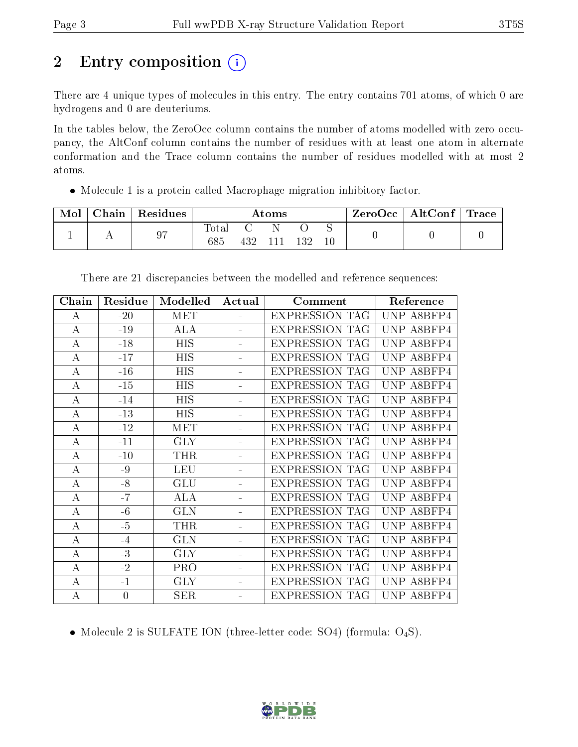# 2 Entry composition (i)

There are 4 unique types of molecules in this entry. The entry contains 701 atoms, of which 0 are hydrogens and 0 are deuteriums.

In the tables below, the ZeroOcc column contains the number of atoms modelled with zero occupancy, the AltConf column contains the number of residues with at least one atom in alternate conformation and the Trace column contains the number of residues modelled with at most 2 atoms.

Molecule 1 is a protein called Macrophage migration inhibitory factor.

| Mol | ${\bf Chain}$ | <sup>'</sup> Residues | $\bm{\mathrm{Atoms}}$ |     |                |     |  | ZeroOcc   AltConf   Trace |  |
|-----|---------------|-----------------------|-----------------------|-----|----------------|-----|--|---------------------------|--|
|     |               | 97                    | Totar                 |     |                |     |  |                           |  |
|     |               |                       | 685                   | 432 | $\blacksquare$ | 132 |  |                           |  |

| Chain    | Residue        | Modelled         | Actual                   | Comment               | Reference            |
|----------|----------------|------------------|--------------------------|-----------------------|----------------------|
| A        | $-20$          | <b>MET</b>       | ÷.                       | <b>EXPRESSION TAG</b> | UNP A8BFP4           |
| А        | $-19$          | ALA              |                          | <b>EXPRESSION TAG</b> | <b>UNP</b><br>A8BFP4 |
| $\bf{A}$ | $-18$          | $\overline{HIS}$ |                          | <b>EXPRESSION TAG</b> | UNP<br>A8BFP4        |
| $\bf{A}$ | $-17$          | <b>HIS</b>       |                          | <b>EXPRESSION TAG</b> | UNP A8BFP4           |
| A        | $-16$          | <b>HIS</b>       |                          | <b>EXPRESSION TAG</b> | UNP A8BFP4           |
| $\bf{A}$ | $-15$          | <b>HIS</b>       |                          | <b>EXPRESSION TAG</b> | UNP A8BFP4           |
| A        | $-14$          | <b>HIS</b>       |                          | <b>EXPRESSION TAG</b> | UNP A8BFP4           |
| $\bf{A}$ | $-13$          | HIS              |                          | <b>EXPRESSION TAG</b> | UNP.<br>A8BFP4       |
| $\bf{A}$ | $-12$          | <b>MET</b>       |                          | <b>EXPRESSION TAG</b> | UNP A8BFP4           |
| $\bf{A}$ | $-11$          | <b>GLY</b>       |                          | <b>EXPRESSION TAG</b> | UNP<br>A8BFP4        |
| $\bf{A}$ | $-10$          | <b>THR</b>       |                          | <b>EXPRESSION TAG</b> | UNP A8BFP4           |
| А        | $-9$           | <b>LEU</b>       |                          | <b>EXPRESSION TAG</b> | UNP.<br>A8BFP4       |
| $\bf{A}$ | $-8$           | <b>GLU</b>       | $\overline{\phantom{0}}$ | <b>EXPRESSION TAG</b> | UNP.<br>A8BFP4       |
| $\bf{A}$ | $-7$           | <b>ALA</b>       |                          | <b>EXPRESSION TAG</b> | UNP A8BFP4           |
| A        | $-6$           | <b>GLN</b>       |                          | <b>EXPRESSION TAG</b> | UNP A8BFP4           |
| A        | $-5$           | THR              |                          | <b>EXPRESSION TAG</b> | UNP A8BFP4           |
| $\bf{A}$ | $-4$           | <b>GLN</b>       |                          | <b>EXPRESSION TAG</b> | UNP A8BFP4           |
| $\bf{A}$ | $-3$           | <b>GLY</b>       |                          | <b>EXPRESSION TAG</b> | UNP.<br>A8BFP4       |
| A        | $-2$           | <b>PRO</b>       |                          | <b>EXPRESSION TAG</b> | UNP<br>A8BFP4        |
| $\bf{A}$ | $-1$           | <b>GLY</b>       |                          | <b>EXPRESSION TAG</b> | A8BFP4<br>UNP        |
| $\bf{A}$ | $\overline{0}$ | SER              | $\blacksquare$           | <b>EXPRESSION TAG</b> | UNP A8BFP4           |

There are 21 discrepancies between the modelled and reference sequences:

• Molecule 2 is SULFATE ION (three-letter code: SO4) (formula:  $O_4S$ ).

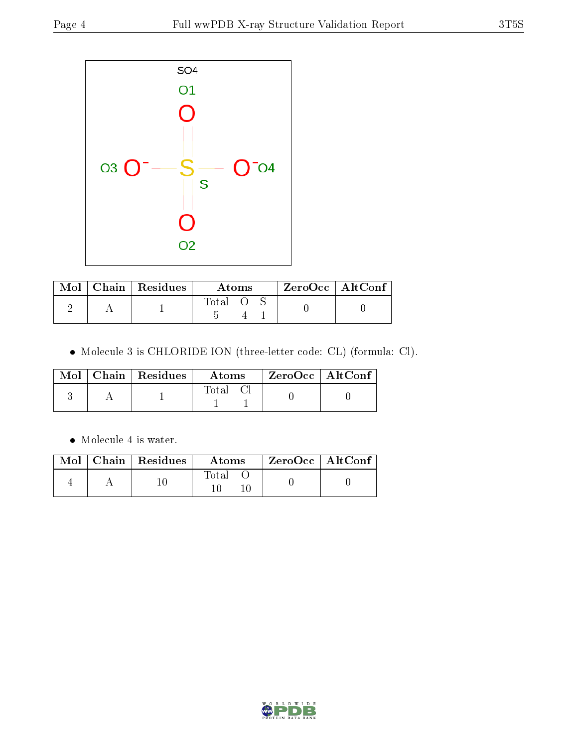

| Mol | $\vert$ Chain $\vert$ Residues | Atoms | $ZeroOcc$   AltConf |  |
|-----|--------------------------------|-------|---------------------|--|
|     |                                | Total |                     |  |

Molecule 3 is CHLORIDE ION (three-letter code: CL) (formula: Cl).

|  | $Mol$   Chain   Residues | Atoms | ZeroOcc   AltConf |  |
|--|--------------------------|-------|-------------------|--|
|  |                          | Total |                   |  |

• Molecule 4 is water.

|  | $\boxed{\text{Mol}$ Chain   Residues | Atoms | ZeroOcc   AltConf |  |
|--|--------------------------------------|-------|-------------------|--|
|  |                                      | Total |                   |  |

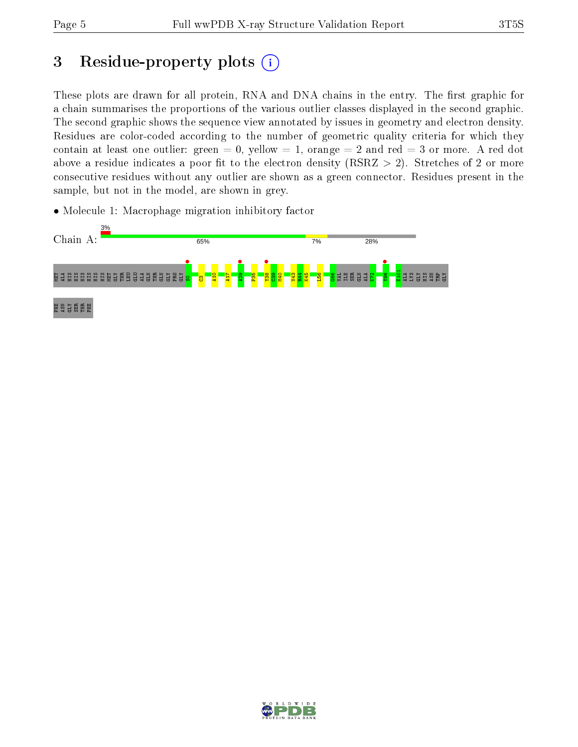PHE ASN GLY SER THR PHE

GLY HIS ASN TRP GLY

# 3 Residue-property plots  $(i)$

These plots are drawn for all protein, RNA and DNA chains in the entry. The first graphic for a chain summarises the proportions of the various outlier classes displayed in the second graphic. The second graphic shows the sequence view annotated by issues in geometry and electron density. Residues are color-coded according to the number of geometric quality criteria for which they contain at least one outlier: green  $= 0$ , yellow  $= 1$ , orange  $= 2$  and red  $= 3$  or more. A red dot above a residue indicates a poor fit to the electron density (RSRZ  $> 2$ ). Stretches of 2 or more consecutive residues without any outlier are shown as a green connector. Residues present in the sample, but not in the model, are shown in grey.



• Molecule 1: Macrophage migration inhibitory factor

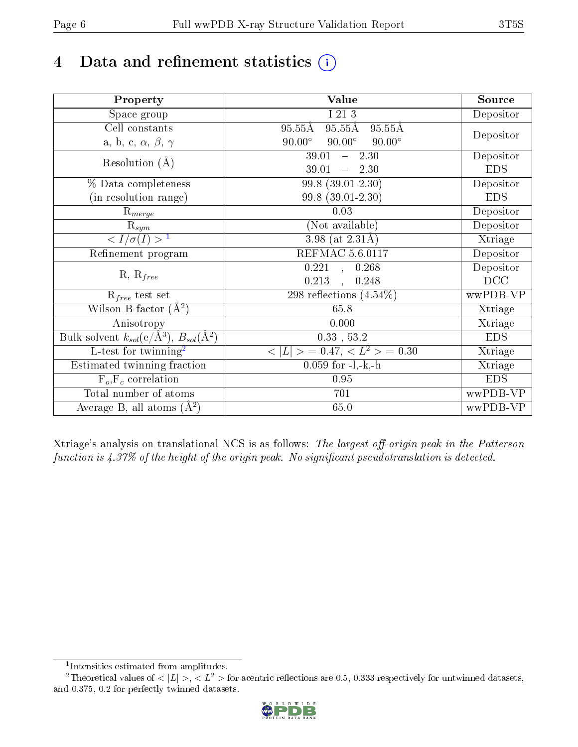# 4 Data and refinement statistics  $(i)$

| Property                                                             | Value                                                       | Source     |
|----------------------------------------------------------------------|-------------------------------------------------------------|------------|
| Space group                                                          | I 21 3                                                      | Depositor  |
| Cell constants                                                       | $95.55\text{\AA}$<br>$95.55\text{\AA}$<br>$95.55\text{\AA}$ |            |
| a, b, c, $\alpha$ , $\beta$ , $\gamma$                               | $90.00^\circ$<br>$90.00^\circ$<br>$90.00^\circ$             | Depositor  |
| Resolution $(A)$                                                     | 39.01<br>$-2.30$                                            | Depositor  |
|                                                                      | 39.01<br>$-2.30$                                            | <b>EDS</b> |
| % Data completeness                                                  | 99.8 (39.01-2.30)                                           | Depositor  |
| (in resolution range)                                                | 99.8 (39.01-2.30)                                           | <b>EDS</b> |
| $R_{merge}$                                                          | 0.03                                                        | Depositor  |
| $\mathrm{R}_{sym}$                                                   | (Not available)                                             | Depositor  |
| $\langle I/\sigma(I) \rangle$ <sup>1</sup>                           | $\overline{3.98}$ (at 2.31Å)                                | Xtriage    |
| Refinement program                                                   | <b>REFMAC 5.6.0117</b>                                      | Depositor  |
|                                                                      | $\overline{0.2}21$ ,<br>0.268                               | Depositor  |
| $R, R_{free}$                                                        | 0.213<br>0.248<br>$\ddot{\phantom{a}}$                      | DCC        |
| $\mathcal{R}_{free}$ test set                                        | 298 reflections $(4.54\%)$                                  | wwPDB-VP   |
| Wilson B-factor $(A^2)$                                              | 65.8                                                        | Xtriage    |
| Anisotropy                                                           | 0.000                                                       | Xtriage    |
| Bulk solvent $k_{sol}(e/\mathring{A}^3)$ , $B_{sol}(\mathring{A}^2)$ | $0.33\,$ , $53.2\,$                                         | <b>EDS</b> |
| L-test for twinning <sup>2</sup>                                     | $< L >$ = 0.47, $< L2 >$ = 0.30                             | Xtriage    |
| Estimated twinning fraction                                          | $0.059$ for $-l,-k,-h$                                      | Xtriage    |
| $F_o, F_c$ correlation                                               | 0.95                                                        | <b>EDS</b> |
| Total number of atoms                                                | 701                                                         | wwPDB-VP   |
| Average B, all atoms $(A^2)$                                         | 65.0                                                        | wwPDB-VP   |

Xtriage's analysis on translational NCS is as follows: The largest off-origin peak in the Patterson function is  $4.37\%$  of the height of the origin peak. No significant pseudotranslation is detected.

<sup>&</sup>lt;sup>2</sup>Theoretical values of  $\langle |L| \rangle$ ,  $\langle L^2 \rangle$  for acentric reflections are 0.5, 0.333 respectively for untwinned datasets, and 0.375, 0.2 for perfectly twinned datasets.



<span id="page-5-1"></span><span id="page-5-0"></span><sup>1</sup> Intensities estimated from amplitudes.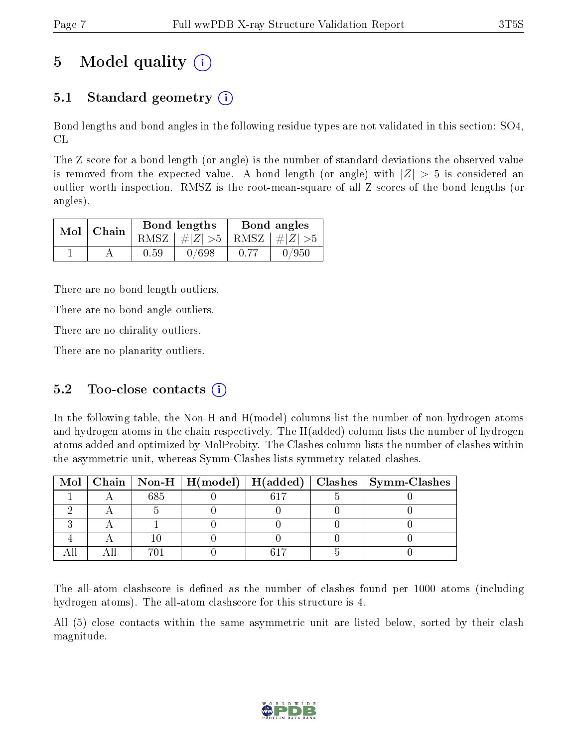## 5 Model quality  $(i)$

## 5.1 Standard geometry  $\overline{()}$

Bond lengths and bond angles in the following residue types are not validated in this section: SO4, CL

The Z score for a bond length (or angle) is the number of standard deviations the observed value is removed from the expected value. A bond length (or angle) with  $|Z| > 5$  is considered an outlier worth inspection. RMSZ is the root-mean-square of all Z scores of the bond lengths (or angles).

|  | $Mol$   Chain |      | Bond lengths                    | Bond angles |       |  |
|--|---------------|------|---------------------------------|-------------|-------|--|
|  |               |      | RMSZ $ #Z  > 5$ RMSZ $ #Z  > 5$ |             |       |  |
|  |               | 0.59 | 0/698                           | 0.77        | 0/950 |  |

There are no bond length outliers.

There are no bond angle outliers.

There are no chirality outliers.

There are no planarity outliers.

### 5.2 Too-close contacts  $(i)$

In the following table, the Non-H and H(model) columns list the number of non-hydrogen atoms and hydrogen atoms in the chain respectively. The H(added) column lists the number of hydrogen atoms added and optimized by MolProbity. The Clashes column lists the number of clashes within the asymmetric unit, whereas Symm-Clashes lists symmetry related clashes.

|  |     |  | Mol   Chain   Non-H   H(model)   H(added)   Clashes   Symm-Clashes |
|--|-----|--|--------------------------------------------------------------------|
|  | 685 |  |                                                                    |
|  |     |  |                                                                    |
|  |     |  |                                                                    |
|  |     |  |                                                                    |
|  |     |  |                                                                    |

The all-atom clashscore is defined as the number of clashes found per 1000 atoms (including hydrogen atoms). The all-atom clashscore for this structure is 4.

All (5) close contacts within the same asymmetric unit are listed below, sorted by their clash magnitude.

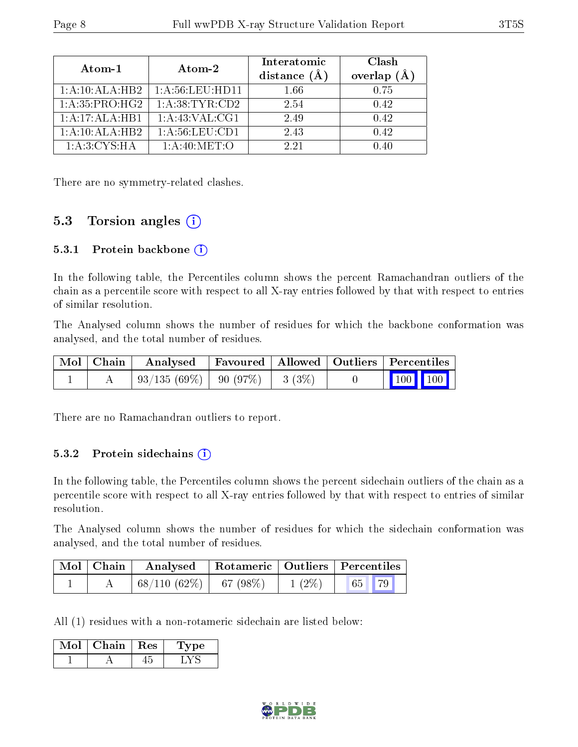| Atom-1                      | Atom-2             | Interatomic<br>distance $(\AA)$ | Clash<br>overlap $(A)$ |  |
|-----------------------------|--------------------|---------------------------------|------------------------|--|
| 1:A:10:ALA:HB2              | 1: A:56: LEU: HD11 | 1.66                            | 0.75                   |  |
| 1: A:35: PRO:HG2            | 1: A:38: TYR:CD2   | 2.54                            | 0.42                   |  |
| $1:A:17:ALA:\overline{HB1}$ | 1: A: 43: VAL: CG1 | 2.49                            | 0.42                   |  |
| 1:A:10:ALA:HB2              | 1: A:56:LEU:CD1    | 2.43                            | 0.42                   |  |
| 1: A:3: CYS:HA              | 1: A:40:MET:O      | 2.21                            | በ 4በ                   |  |

There are no symmetry-related clashes.

### 5.3 Torsion angles (i)

#### 5.3.1 Protein backbone (i)

In the following table, the Percentiles column shows the percent Ramachandran outliers of the chain as a percentile score with respect to all X-ray entries followed by that with respect to entries of similar resolution.

The Analysed column shows the number of residues for which the backbone conformation was analysed, and the total number of residues.

|  | Mol   Chain   Analysed   Favoured   Allowed   Outliers   Percentiles |  |  |                         |  |
|--|----------------------------------------------------------------------|--|--|-------------------------|--|
|  | $\mid 93/135 \; (69\%) \mid 90 \; (97\%) \mid 3 \; (3\%)$            |  |  | $\vert$ 100 100 $\vert$ |  |

There are no Ramachandran outliers to report.

#### 5.3.2 Protein sidechains  $(i)$

In the following table, the Percentiles column shows the percent sidechain outliers of the chain as a percentile score with respect to all X-ray entries followed by that with respect to entries of similar resolution.

The Analysed column shows the number of residues for which the sidechain conformation was analysed, and the total number of residues.

| $\mid$ Mol $\mid$ Chain $\mid$ | Analysed   Rotameric   Outliers   Percentiles |          |  |  |
|--------------------------------|-----------------------------------------------|----------|--|--|
|                                | $68/110(62\%)$ 67 (98\%)                      | $1(2\%)$ |  |  |

All (1) residues with a non-rotameric sidechain are listed below:

| Chain. | $\perp$ Res | vpe |
|--------|-------------|-----|
|        |             |     |

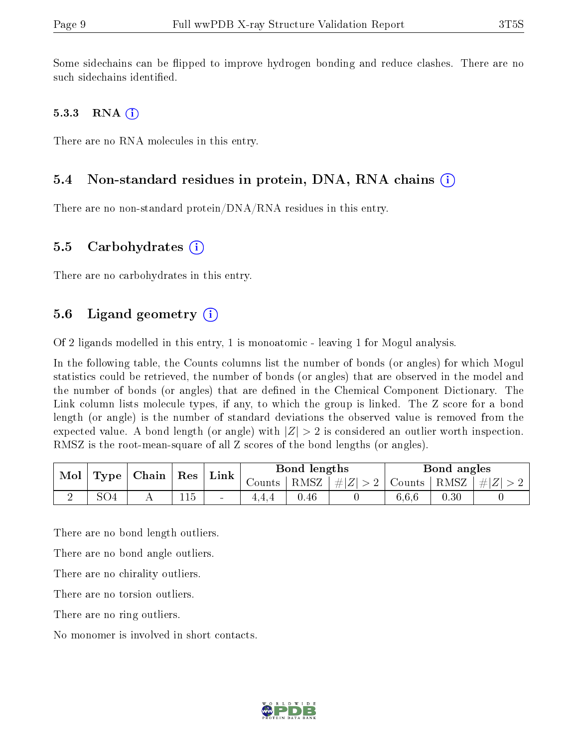Some sidechains can be flipped to improve hydrogen bonding and reduce clashes. There are no such sidechains identified.

#### 5.3.3 RNA  $(i)$

There are no RNA molecules in this entry.

#### 5.4 Non-standard residues in protein, DNA, RNA chains (i)

There are no non-standard protein/DNA/RNA residues in this entry.

#### 5.5 Carbohydrates  $(i)$

There are no carbohydrates in this entry.

### 5.6 Ligand geometry  $(i)$

Of 2 ligands modelled in this entry, 1 is monoatomic - leaving 1 for Mogul analysis.

In the following table, the Counts columns list the number of bonds (or angles) for which Mogul statistics could be retrieved, the number of bonds (or angles) that are observed in the model and the number of bonds (or angles) that are defined in the Chemical Component Dictionary. The Link column lists molecule types, if any, to which the group is linked. The Z score for a bond length (or angle) is the number of standard deviations the observed value is removed from the expected value. A bond length (or angle) with  $|Z| > 2$  is considered an outlier worth inspection. RMSZ is the root-mean-square of all Z scores of the bond lengths (or angles).

| Mol<br>Type |                 | $\mid$ Chain $\mid$ |                             |        |      |         |        | $\mid$ Res      | ${\rm Link}$ |  | Bond lengths |  |  | Bond angles |  |
|-------------|-----------------|---------------------|-----------------------------|--------|------|---------|--------|-----------------|--------------|--|--------------|--|--|-------------|--|
|             |                 |                     |                             | Counts | RMSZ | $\# Z $ | Counts | $ RMSZ  \#  Z $ |              |  |              |  |  |             |  |
| ↵           | SO <sub>4</sub> |                     | $\rightarrow$ $\rightarrow$ | $\sim$ |      | 0.46    |        | 6.6.6           | 0.30         |  |              |  |  |             |  |

There are no bond length outliers.

There are no bond angle outliers.

There are no chirality outliers.

There are no torsion outliers.

There are no ring outliers.

No monomer is involved in short contacts.

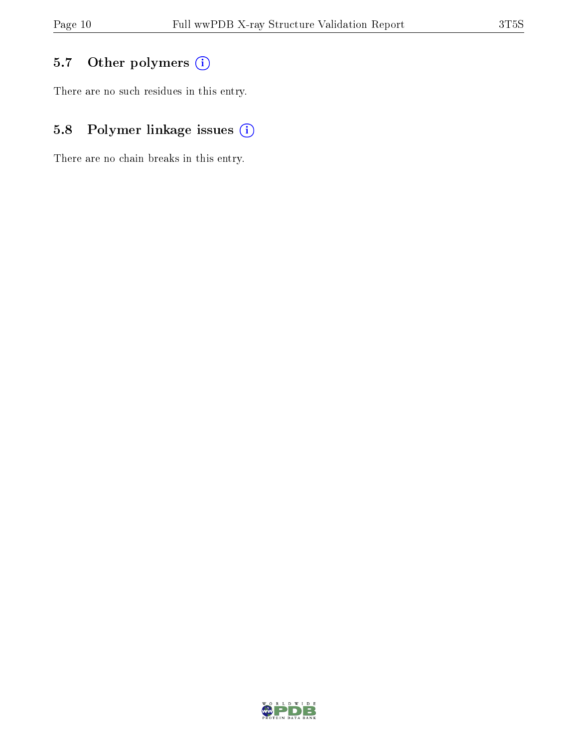## 5.7 [O](https://www.wwpdb.org/validation/2017/XrayValidationReportHelp#nonstandard_residues_and_ligands)ther polymers (i)

There are no such residues in this entry.

## 5.8 Polymer linkage issues (i)

There are no chain breaks in this entry.

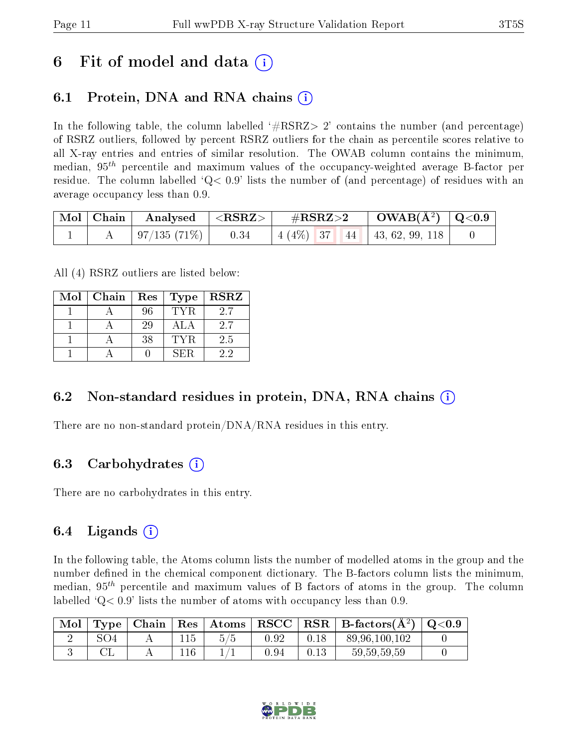## 6 Fit of model and data  $\left( \cdot \right)$

### 6.1 Protein, DNA and RNA chains (i)

In the following table, the column labelled  $#RSRZ>2'$  contains the number (and percentage) of RSRZ outliers, followed by percent RSRZ outliers for the chain as percentile scores relative to all X-ray entries and entries of similar resolution. The OWAB column contains the minimum, median,  $95<sup>th</sup>$  percentile and maximum values of the occupancy-weighted average B-factor per residue. The column labelled  $Q < 0.9$  lists the number of (and percentage) of residues with an average occupancy less than 0.9.

|  | $\mid$ Mol $\mid$ Chain $\mid$ Analysed $\mid$ <rsrz> <math>\mid</math></rsrz> | $\mathrm{\#RSRZ{>}2}$                | $\parallel$ OWAB(Å <sup>2</sup> ) $\parallel$ Q<0.9 $\parallel$ |  |
|--|--------------------------------------------------------------------------------|--------------------------------------|-----------------------------------------------------------------|--|
|  | $\mid 97/135(71\%) \mid 0.34$                                                  | $\mid$ 4 (4\%) 37 44 43, 62, 99, 118 |                                                                 |  |

All (4) RSRZ outliers are listed below:

| Mol | Chain | $\parallel$ Res | Type  | <b>RSRZ</b> |
|-----|-------|-----------------|-------|-------------|
|     |       | 96              | TYR.  | 2.7         |
|     |       | 29              | A L A | 2.7         |
|     |       | 38              | TYR   | 2.5         |
|     |       |                 | SER   | 22          |

#### 6.2 Non-standard residues in protein, DNA, RNA chains  $(i)$

There are no non-standard protein/DNA/RNA residues in this entry.

#### 6.3 Carbohydrates (i)

There are no carbohydrates in this entry.

#### 6.4 Ligands  $(i)$

In the following table, the Atoms column lists the number of modelled atoms in the group and the number defined in the chemical component dictionary. The B-factors column lists the minimum, median,  $95<sup>th</sup>$  percentile and maximum values of B factors of atoms in the group. The column labelled  $Q< 0.9$  lists the number of atoms with occupancy less than 0.9.

| Mol | Type | ∣ Chain∣ | $\mid$ Res $\mid$ | $\mid$ Atoms $\mid$ RSCC $\mid$ |          |      | $\overline{\text{RSR}}$ B-factors( $\AA^2$ )   Q<0.9 |  |
|-----|------|----------|-------------------|---------------------------------|----------|------|------------------------------------------------------|--|
|     | SO4  |          | 115               | 5/5                             | 0.92     | 0.18 | 89,96,100,102                                        |  |
|     |      |          |                   |                                 | ${0.94}$ | 0.13 | 59, 59, 59, 59                                       |  |